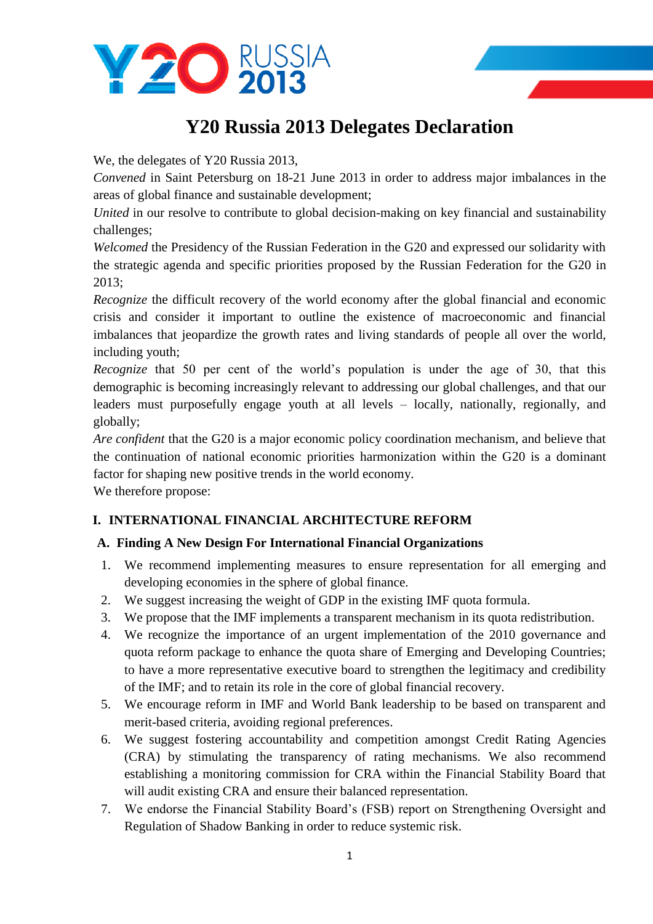

# **Y20 Russia 2013 Delegates Declaration**

We, the delegates of Y20 Russia 2013,

*Convened* in Saint Petersburg on 18-21 June 2013 in order to address major imbalances in the areas of global finance and sustainable development;

*United* in our resolve to contribute to global decision-making on key financial and sustainability challenges;

*Welcomed* the Presidency of the Russian Federation in the G20 and expressed our solidarity with the strategic agenda and specific priorities proposed by the Russian Federation for the G20 in 2013;

*Recognize* the difficult recovery of the world economy after the global financial and economic crisis and consider it important to outline the existence of macroeconomic and financial imbalances that jeopardize the growth rates and living standards of people all over the world, including youth;

*Recognize* that 50 per cent of the world's population is under the age of 30, that this demographic is becoming increasingly relevant to addressing our global challenges, and that our leaders must purposefully engage youth at all levels – locally, nationally, regionally, and globally;

*Are confident* that the G20 is a major economic policy coordination mechanism, and believe that the continuation of national economic priorities harmonization within the G20 is a dominant factor for shaping new positive trends in the world economy.

We therefore propose:

## **I. INTERNATIONAL FINANCIAL ARCHITECTURE REFORM**

## **A. Finding A New Design For International Financial Organizations**

- 1. We recommend implementing measures to ensure representation for all emerging and developing economies in the sphere of global finance.
- 2. We suggest increasing the weight of GDP in the existing IMF quota formula.
- 3. We propose that the IMF implements a transparent mechanism in its quota redistribution.
- 4. We recognize the importance of an urgent implementation of the 2010 governance and quota reform package to enhance the quota share of Emerging and Developing Countries; to have a more representative executive board to strengthen the legitimacy and credibility of the IMF; and to retain its role in the core of global financial recovery.
- 5. We encourage reform in IMF and World Bank leadership to be based on transparent and merit-based criteria, avoiding regional preferences.
- 6. We suggest fostering accountability and competition amongst Credit Rating Agencies (CRA) by stimulating the transparency of rating mechanisms. We also recommend establishing a monitoring commission for CRA within the Financial Stability Board that will audit existing CRA and ensure their balanced representation.
- 7. We endorse the Financial Stability Board's (FSB) report on Strengthening Oversight and Regulation of Shadow Banking in order to reduce systemic risk.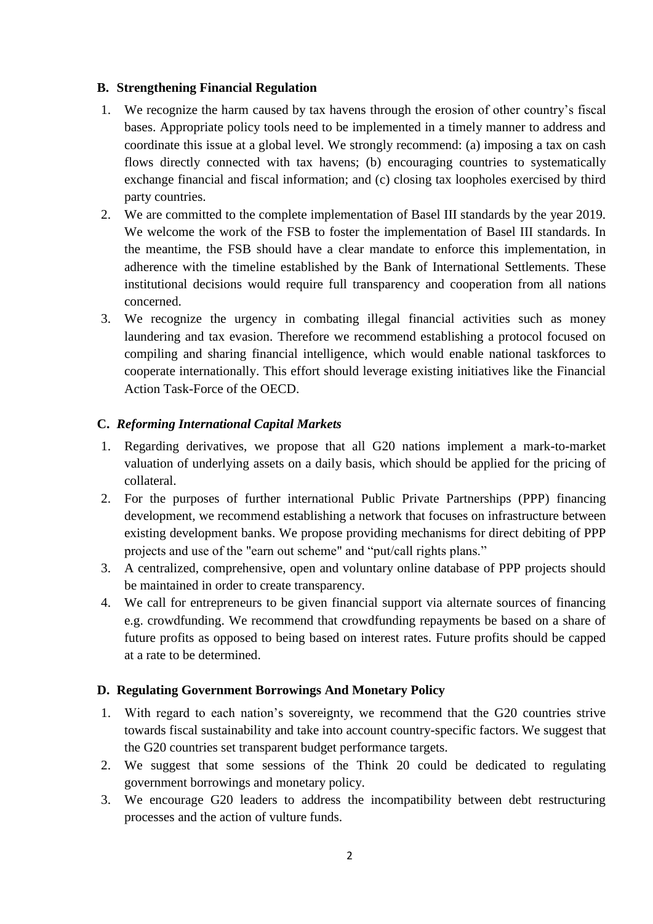## **B. Strengthening Financial Regulation**

- 1. We recognize the harm caused by tax havens through the erosion of other country's fiscal bases. Appropriate policy tools need to be implemented in a timely manner to address and coordinate this issue at a global level. We strongly recommend: (a) imposing a tax on cash flows directly connected with tax havens; (b) encouraging countries to systematically exchange financial and fiscal information; and (c) closing tax loopholes exercised by third party countries.
- 2. We are committed to the complete implementation of Basel III standards by the year 2019. We welcome the work of the FSB to foster the implementation of Basel III standards. In the meantime, the FSB should have a clear mandate to enforce this implementation, in adherence with the timeline established by the Bank of International Settlements. These institutional decisions would require full transparency and cooperation from all nations concerned.
- 3. We recognize the urgency in combating illegal financial activities such as money laundering and tax evasion. Therefore we recommend establishing a protocol focused on compiling and sharing financial intelligence, which would enable national taskforces to cooperate internationally. This effort should leverage existing initiatives like the Financial Action Task-Force of the OECD.

## **C.** *Reforming International Capital Markets*

- 1. Regarding derivatives, we propose that all G20 nations implement a mark-to-market valuation of underlying assets on a daily basis, which should be applied for the pricing of collateral.
- 2. For the purposes of further international Public Private Partnerships (PPP) financing development*,* we recommend establishing a network that focuses on infrastructure between existing development banks. We propose providing mechanisms for direct debiting of PPP projects and use of the "earn out scheme" and "put/call rights plans."
- 3. A centralized, comprehensive, open and voluntary online database of PPP projects should be maintained in order to create transparency.
- 4. We call for entrepreneurs to be given financial support via alternate sources of financing e.g. crowdfunding. We recommend that crowdfunding repayments be based on a share of future profits as opposed to being based on interest rates. Future profits should be capped at a rate to be determined.

#### **D. Regulating Government Borrowings And Monetary Policy**

- 1. With regard to each nation's sovereignty, we recommend that the G20 countries strive towards fiscal sustainability and take into account country-specific factors. We suggest that the G20 countries set transparent budget performance targets.
- 2. We suggest that some sessions of the Think 20 could be dedicated to regulating government borrowings and monetary policy.
- 3. We encourage G20 leaders to address the incompatibility between debt restructuring processes and the action of vulture funds.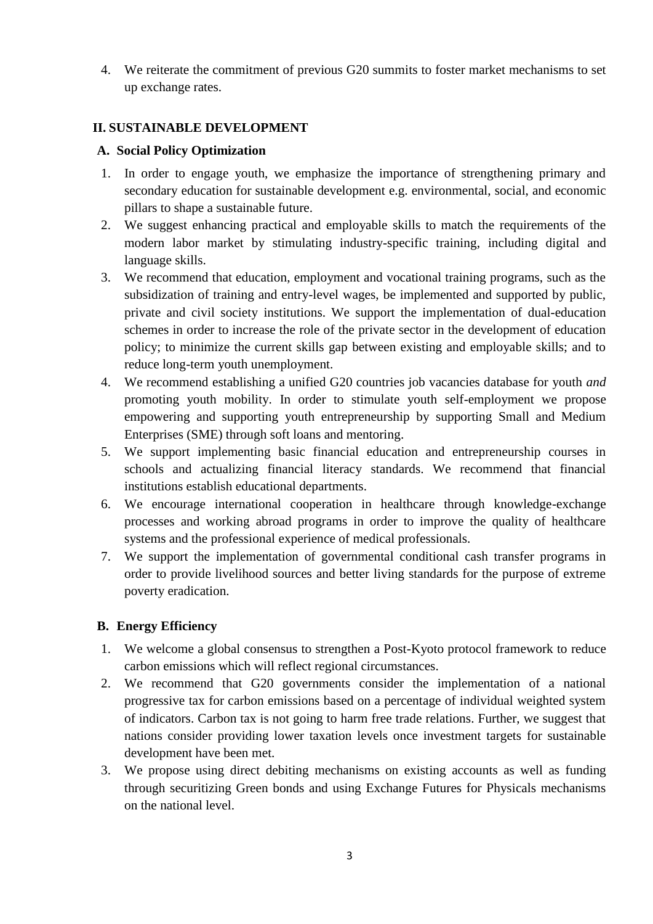4. We reiterate the commitment of previous G20 summits to foster market mechanisms to set up exchange rates.

## **II. SUSTAINABLE DEVELOPMENT**

## **A. Social Policy Optimization**

- 1. In order to engage youth, we emphasize the importance of strengthening primary and secondary education for sustainable development e.g. environmental, social, and economic pillars to shape a sustainable future.
- 2. We suggest enhancing practical and employable skills to match the requirements of the modern labor market by stimulating industry-specific training, including digital and language skills.
- 3. We recommend that education, employment and vocational training programs, such as the subsidization of training and entry-level wages, be implemented and supported by public, private and civil society institutions. We support the implementation of dual-education schemes in order to increase the role of the private sector in the development of education policy; to minimize the current skills gap between existing and employable skills; and to reduce long-term youth unemployment.
- 4. We recommend establishing a unified G20 countries job vacancies database for youth *and*  promoting youth mobility. In order to stimulate youth self-employment we propose empowering and supporting youth entrepreneurship by supporting Small and Medium Enterprises (SME) through soft loans and mentoring.
- 5. We support implementing basic financial education and entrepreneurship courses in schools and actualizing financial literacy standards. We recommend that financial institutions establish educational departments.
- 6. We encourage international cooperation in healthcare through knowledge-exchange processes and working abroad programs in order to improve the quality of healthcare systems and the professional experience of medical professionals.
- 7. We support the implementation of governmental conditional cash transfer programs in order to provide livelihood sources and better living standards for the purpose of extreme poverty eradication.

#### **B. Energy Efficiency**

- 1. We welcome a global consensus to strengthen a Post-Kyoto protocol framework to reduce carbon emissions which will reflect regional circumstances.
- 2. We recommend that G20 governments consider the implementation of a national progressive tax for carbon emissions based on a percentage of individual weighted system of indicators. Carbon tax is not going to harm free trade relations. Further, we suggest that nations consider providing lower taxation levels once investment targets for sustainable development have been met.
- 3. We propose using direct debiting mechanisms on existing accounts as well as funding through securitizing Green bonds and using Exchange Futures for Physicals mechanisms on the national level.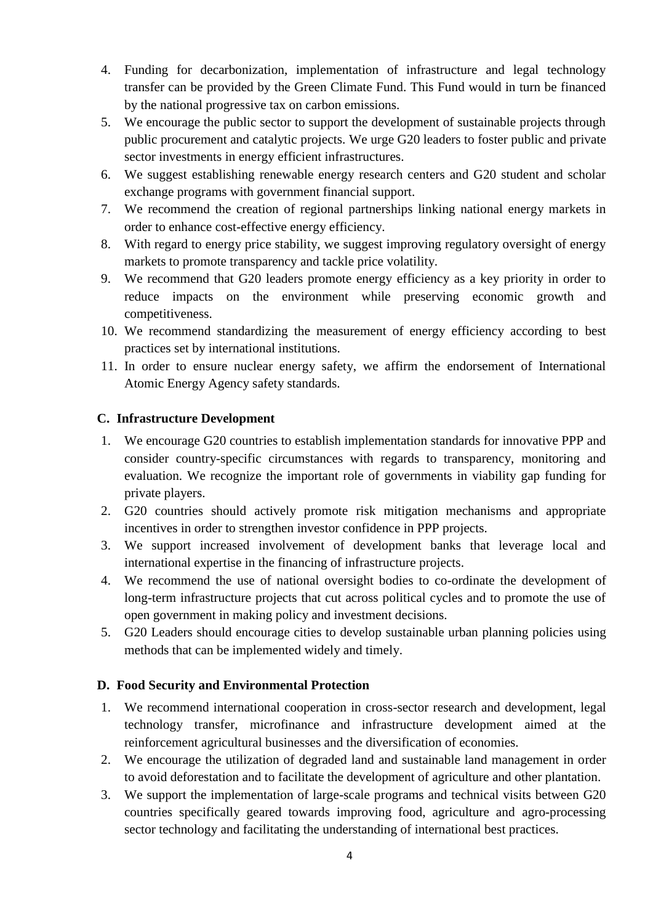- 4. Funding for decarbonization, implementation of infrastructure and legal technology transfer can be provided by the Green Climate Fund. This Fund would in turn be financed by the national progressive tax on carbon emissions.
- 5. We encourage the public sector to support the development of sustainable projects through public procurement and catalytic projects. We urge G20 leaders to foster public and private sector investments in energy efficient infrastructures.
- 6. We suggest establishing renewable energy research centers and G20 student and scholar exchange programs with government financial support.
- 7. We recommend the creation of regional partnerships linking national energy markets in order to enhance cost-effective energy efficiency.
- 8. With regard to energy price stability, we suggest improving regulatory oversight of energy markets to promote transparency and tackle price volatility.
- 9. We recommend that G20 leaders promote energy efficiency as a key priority in order to reduce impacts on the environment while preserving economic growth and competitiveness.
- 10. We recommend standardizing the measurement of energy efficiency according to best practices set by international institutions.
- 11. In order to ensure nuclear energy safety, we affirm the endorsement of International Atomic Energy Agency safety standards.

## **C. Infrastructure Development**

- 1. We encourage G20 countries to establish implementation standards for innovative PPP and consider country-specific circumstances with regards to transparency, monitoring and evaluation. We recognize the important role of governments in viability gap funding for private players.
- 2. G20 countries should actively promote risk mitigation mechanisms and appropriate incentives in order to strengthen investor confidence in PPP projects.
- 3. We support increased involvement of development banks that leverage local and international expertise in the financing of infrastructure projects.
- 4. We recommend the use of national oversight bodies to co-ordinate the development of long-term infrastructure projects that cut across political cycles and to promote the use of open government in making policy and investment decisions.
- 5. G20 Leaders should encourage cities to develop sustainable urban planning policies using methods that can be implemented widely and timely.

## **D. Food Security and Environmental Protection**

- 1. We recommend international cooperation in cross-sector research and development, legal technology transfer, microfinance and infrastructure development aimed at the reinforcement agricultural businesses and the diversification of economies.
- 2. We encourage the utilization of degraded land and sustainable land management in order to avoid deforestation and to facilitate the development of agriculture and other plantation.
- 3. We support the implementation of large-scale programs and technical visits between G20 countries specifically geared towards improving food, agriculture and agro-processing sector technology and facilitating the understanding of international best practices.